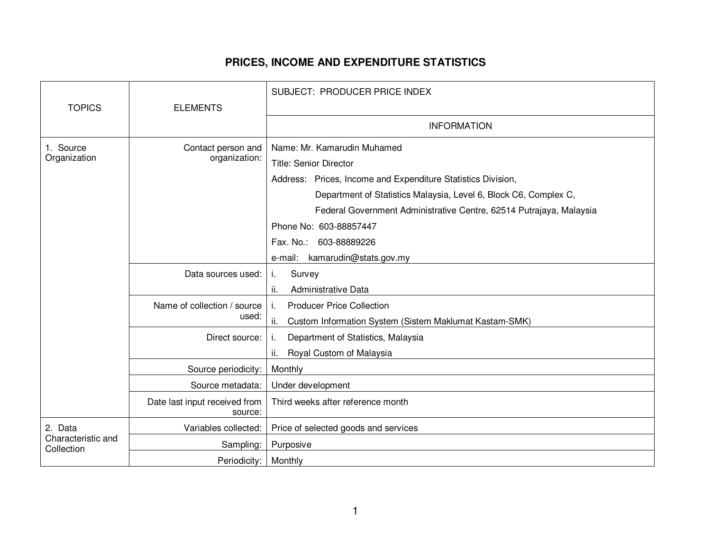## **PRICES, INCOME AND EXPENDITURE STATISTICS**

|                                             |                                          | SUBJECT: PRODUCER PRICE INDEX                                                                                                                                                                                                                                           |
|---------------------------------------------|------------------------------------------|-------------------------------------------------------------------------------------------------------------------------------------------------------------------------------------------------------------------------------------------------------------------------|
| <b>TOPICS</b>                               | <b>ELEMENTS</b>                          |                                                                                                                                                                                                                                                                         |
|                                             |                                          | <b>INFORMATION</b>                                                                                                                                                                                                                                                      |
| 1. Source<br>Organization                   | Contact person and<br>organization:      | Name: Mr. Kamarudin Muhamed<br><b>Title: Senior Director</b><br>Address: Prices, Income and Expenditure Statistics Division,<br>Department of Statistics Malaysia, Level 6, Block C6, Complex C,<br>Federal Government Administrative Centre, 62514 Putrajaya, Malaysia |
|                                             |                                          | Phone No: 603-88857447<br>Fax. No.: 603-88889226<br>e-mail: kamarudin@stats.gov.my                                                                                                                                                                                      |
|                                             | Data sources used:                       | Survey<br>j.<br>Administrative Data<br>ii.                                                                                                                                                                                                                              |
|                                             | Name of collection / source<br>used:     | <b>Producer Price Collection</b><br>j.<br>ii.<br>Custom Information System (Sistem Maklumat Kastam-SMK)                                                                                                                                                                 |
|                                             | Direct source:                           | Department of Statistics, Malaysia<br>j,<br>ii.<br>Royal Custom of Malaysia                                                                                                                                                                                             |
|                                             | Source periodicity:                      | Monthly                                                                                                                                                                                                                                                                 |
|                                             | Source metadata:                         | Under development                                                                                                                                                                                                                                                       |
|                                             | Date last input received from<br>source: | Third weeks after reference month                                                                                                                                                                                                                                       |
| 2. Data<br>Characteristic and<br>Collection | Variables collected:                     | Price of selected goods and services                                                                                                                                                                                                                                    |
|                                             | Sampling:                                | Purposive                                                                                                                                                                                                                                                               |
|                                             | Periodicity:                             | Monthly                                                                                                                                                                                                                                                                 |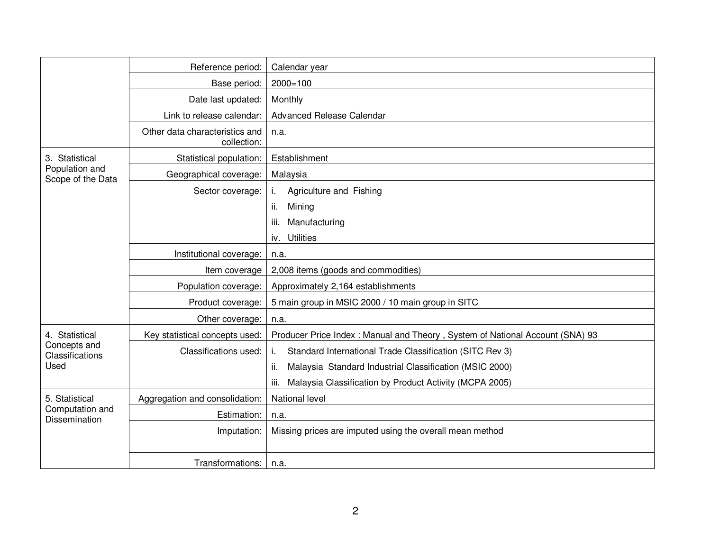|                                                           | Reference period:                             | Calendar year                                                                |
|-----------------------------------------------------------|-----------------------------------------------|------------------------------------------------------------------------------|
|                                                           | Base period:                                  | $2000 = 100$                                                                 |
|                                                           | Date last updated:                            | Monthly                                                                      |
|                                                           | Link to release calendar:                     | Advanced Release Calendar                                                    |
|                                                           | Other data characteristics and<br>collection: | n.a.                                                                         |
| 3. Statistical<br>Population and<br>Scope of the Data     | Statistical population:                       | Establishment                                                                |
|                                                           | Geographical coverage:                        | Malaysia                                                                     |
|                                                           | Sector coverage:                              | i.<br>Agriculture and Fishing                                                |
|                                                           |                                               | Mining<br>ii.                                                                |
|                                                           |                                               | iii.<br>Manufacturing                                                        |
|                                                           |                                               | <b>Utilities</b><br>iv.                                                      |
|                                                           | Institutional coverage:                       | n.a.                                                                         |
|                                                           | Item coverage                                 | 2,008 items (goods and commodities)                                          |
|                                                           | Population coverage:                          | Approximately 2,164 establishments                                           |
|                                                           | Product coverage:                             | 5 main group in MSIC 2000 / 10 main group in SITC                            |
|                                                           | Other coverage:                               | n.a.                                                                         |
| 4. Statistical<br>Concepts and<br>Classifications<br>Used | Key statistical concepts used:                | Producer Price Index: Manual and Theory, System of National Account (SNA) 93 |
|                                                           | Classifications used:                         | Standard International Trade Classification (SITC Rev 3)<br>i.               |
|                                                           |                                               | Malaysia Standard Industrial Classification (MSIC 2000)<br>ii.               |
|                                                           |                                               | iii.<br>Malaysia Classification by Product Activity (MCPA 2005)              |
| 5. Statistical<br>Computation and<br>Dissemination        | Aggregation and consolidation:                | National level                                                               |
|                                                           | Estimation:                                   | n.a.                                                                         |
|                                                           | Imputation:                                   | Missing prices are imputed using the overall mean method                     |
|                                                           |                                               |                                                                              |
|                                                           | Transformations:                              | n.a.                                                                         |